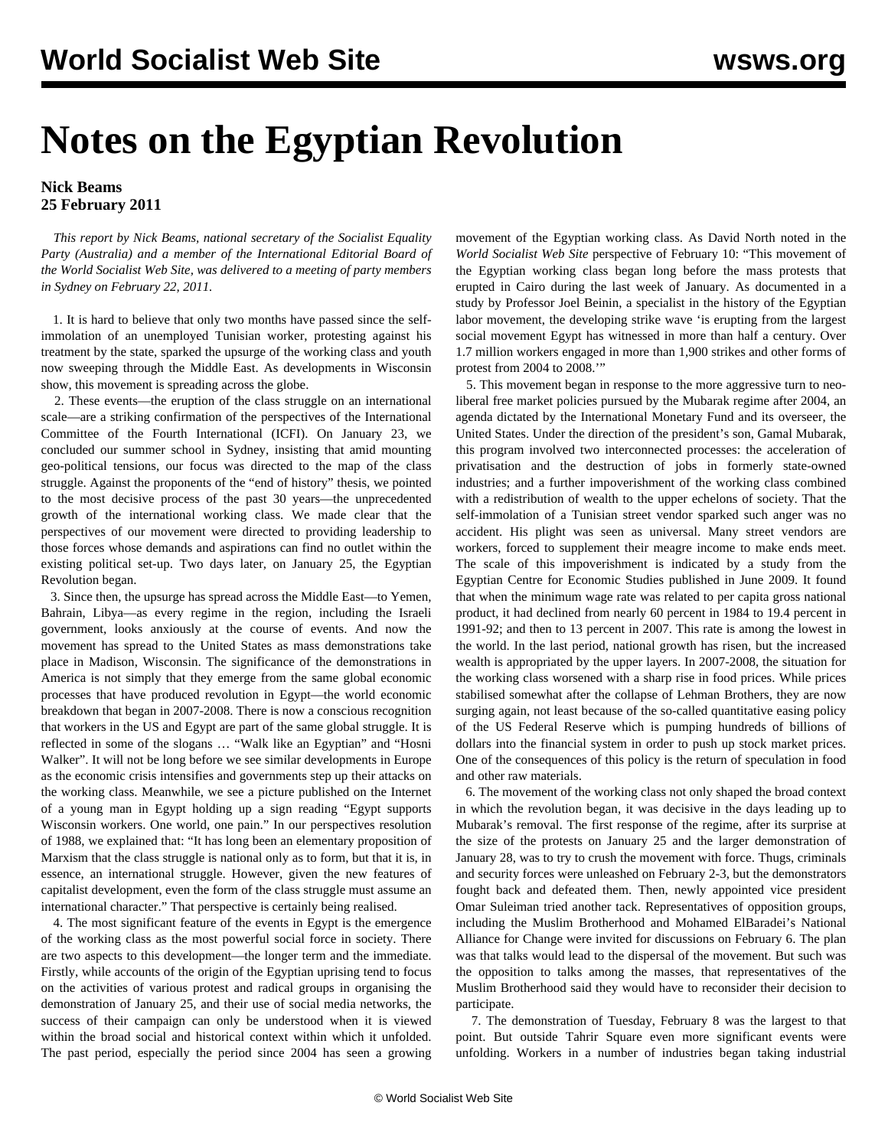## **Notes on the Egyptian Revolution**

## **Nick Beams 25 February 2011**

 *This report by Nick Beams, national secretary of the Socialist Equality Party (Australia) and a member of the International Editorial Board of the World Socialist Web Site, was delivered to a meeting of party members in Sydney on February 22, 2011.*

 1. It is hard to believe that only two months have passed since the selfimmolation of an unemployed Tunisian worker, protesting against his treatment by the state, sparked the upsurge of the working class and youth now sweeping through the Middle East. As developments in Wisconsin show, this movement is spreading across the globe.

 2. These events—the eruption of the class struggle on an international scale—are a striking confirmation of the perspectives of the International Committee of the Fourth International (ICFI). On January 23, we concluded our summer school in Sydney, insisting that amid mounting geo-political tensions, our focus was directed to the map of the class struggle. Against the proponents of the "end of history" thesis, we pointed to the most decisive process of the past 30 years—the unprecedented growth of the international working class. We made clear that the perspectives of our movement were directed to providing leadership to those forces whose demands and aspirations can find no outlet within the existing political set-up. Two days later, on January 25, the Egyptian Revolution began.

 3. Since then, the upsurge has spread across the Middle East—to Yemen, Bahrain, Libya—as every regime in the region, including the Israeli government, looks anxiously at the course of events. And now the movement has spread to the United States as mass demonstrations take place in Madison, Wisconsin. The significance of the demonstrations in America is not simply that they emerge from the same global economic processes that have produced revolution in Egypt—the world economic breakdown that began in 2007-2008. There is now a conscious recognition that workers in the US and Egypt are part of the same global struggle. It is reflected in some of the slogans … "Walk like an Egyptian" and "Hosni Walker". It will not be long before we see similar developments in Europe as the economic crisis intensifies and governments step up their attacks on the working class. Meanwhile, we see a picture published on the Internet of a young man in Egypt holding up a sign reading "Egypt supports Wisconsin workers. One world, one pain." In our perspectives resolution of 1988, we explained that: "It has long been an elementary proposition of Marxism that the class struggle is national only as to form, but that it is, in essence, an international struggle. However, given the new features of capitalist development, even the form of the class struggle must assume an international character." That perspective is certainly being realised.

 4. The most significant feature of the events in Egypt is the emergence of the working class as the most powerful social force in society. There are two aspects to this development—the longer term and the immediate. Firstly, while accounts of the origin of the Egyptian uprising tend to focus on the activities of various protest and radical groups in organising the demonstration of January 25, and their use of social media networks, the success of their campaign can only be understood when it is viewed within the broad social and historical context within which it unfolded. The past period, especially the period since 2004 has seen a growing movement of the Egyptian working class. As David North noted in the *World Socialist Web Site* perspective of February 10: "This movement of the Egyptian working class began long before the mass protests that erupted in Cairo during the last week of January. As documented in a study by Professor Joel Beinin, a specialist in the history of the Egyptian labor movement, the developing strike wave 'is erupting from the largest social movement Egypt has witnessed in more than half a century. Over 1.7 million workers engaged in more than 1,900 strikes and other forms of protest from 2004 to 2008.'"

 5. This movement began in response to the more aggressive turn to neoliberal free market policies pursued by the Mubarak regime after 2004, an agenda dictated by the International Monetary Fund and its overseer, the United States. Under the direction of the president's son, Gamal Mubarak, this program involved two interconnected processes: the acceleration of privatisation and the destruction of jobs in formerly state-owned industries; and a further impoverishment of the working class combined with a redistribution of wealth to the upper echelons of society. That the self-immolation of a Tunisian street vendor sparked such anger was no accident. His plight was seen as universal. Many street vendors are workers, forced to supplement their meagre income to make ends meet. The scale of this impoverishment is indicated by a study from the Egyptian Centre for Economic Studies published in June 2009. It found that when the minimum wage rate was related to per capita gross national product, it had declined from nearly 60 percent in 1984 to 19.4 percent in 1991-92; and then to 13 percent in 2007. This rate is among the lowest in the world. In the last period, national growth has risen, but the increased wealth is appropriated by the upper layers. In 2007-2008, the situation for the working class worsened with a sharp rise in food prices. While prices stabilised somewhat after the collapse of Lehman Brothers, they are now surging again, not least because of the so-called quantitative easing policy of the US Federal Reserve which is pumping hundreds of billions of dollars into the financial system in order to push up stock market prices. One of the consequences of this policy is the return of speculation in food and other raw materials.

 6. The movement of the working class not only shaped the broad context in which the revolution began, it was decisive in the days leading up to Mubarak's removal. The first response of the regime, after its surprise at the size of the protests on January 25 and the larger demonstration of January 28, was to try to crush the movement with force. Thugs, criminals and security forces were unleashed on February 2-3, but the demonstrators fought back and defeated them. Then, newly appointed vice president Omar Suleiman tried another tack. Representatives of opposition groups, including the Muslim Brotherhood and Mohamed ElBaradei's National Alliance for Change were invited for discussions on February 6. The plan was that talks would lead to the dispersal of the movement. But such was the opposition to talks among the masses, that representatives of the Muslim Brotherhood said they would have to reconsider their decision to participate.

 7. The demonstration of Tuesday, February 8 was the largest to that point. But outside Tahrir Square even more significant events were unfolding. Workers in a number of industries began taking industrial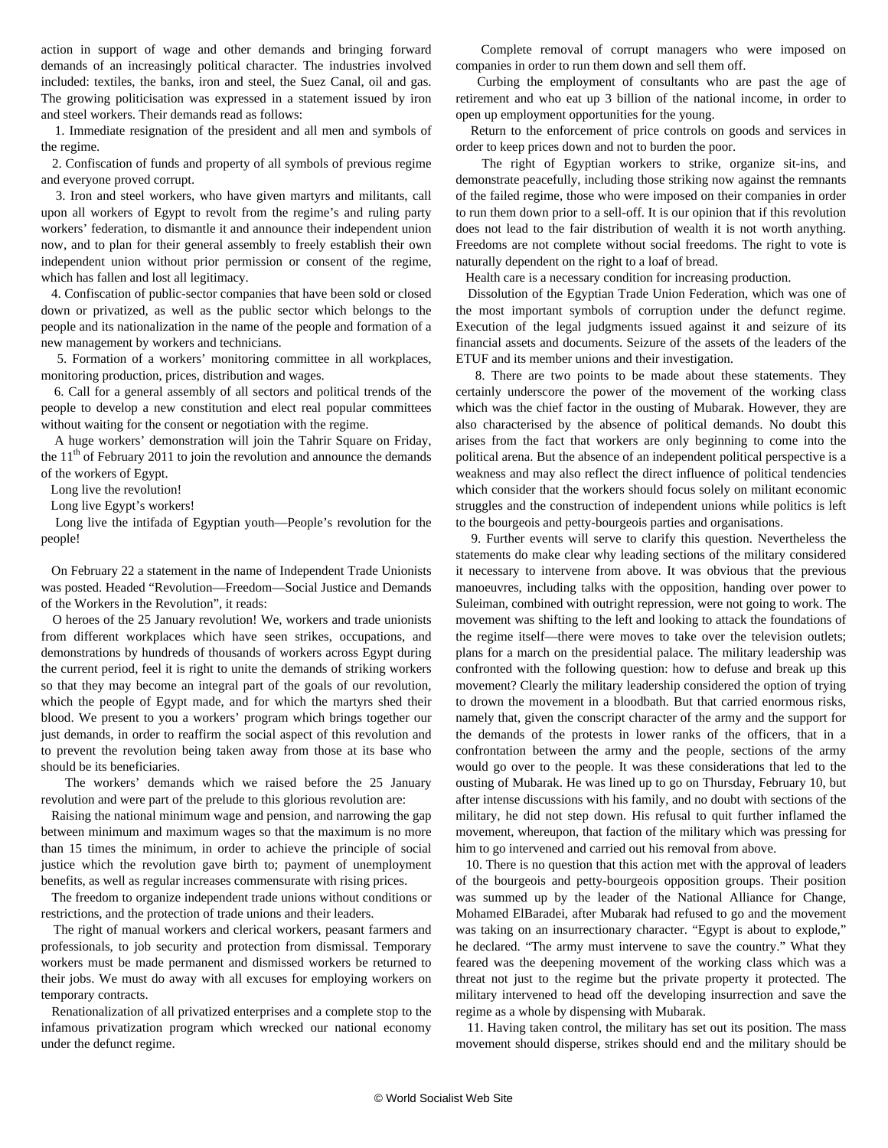action in support of wage and other demands and bringing forward demands of an increasingly political character. The industries involved included: textiles, the banks, iron and steel, the Suez Canal, oil and gas. The growing politicisation was expressed in a statement issued by iron and steel workers. Their demands read as follows:

 1. Immediate resignation of the president and all men and symbols of the regime.

 2. Confiscation of funds and property of all symbols of previous regime and everyone proved corrupt.

 3. Iron and steel workers, who have given martyrs and militants, call upon all workers of Egypt to revolt from the regime's and ruling party workers' federation, to dismantle it and announce their independent union now, and to plan for their general assembly to freely establish their own independent union without prior permission or consent of the regime, which has fallen and lost all legitimacy.

 4. Confiscation of public-sector companies that have been sold or closed down or privatized, as well as the public sector which belongs to the people and its nationalization in the name of the people and formation of a new management by workers and technicians.

 5. Formation of a workers' monitoring committee in all workplaces, monitoring production, prices, distribution and wages.

 6. Call for a general assembly of all sectors and political trends of the people to develop a new constitution and elect real popular committees without waiting for the consent or negotiation with the regime.

 A huge workers' demonstration will join the Tahrir Square on Friday, the  $11<sup>th</sup>$  of February 2011 to join the revolution and announce the demands of the workers of Egypt.

Long live the revolution!

Long live Egypt's workers!

 Long live the intifada of Egyptian youth—People's revolution for the people!

 On February 22 a statement in the name of Independent Trade Unionists was posted. Headed "Revolution—Freedom—Social Justice and Demands of the Workers in the Revolution", it reads:

 O heroes of the 25 January revolution! We, workers and trade unionists from different workplaces which have seen strikes, occupations, and demonstrations by hundreds of thousands of workers across Egypt during the current period, feel it is right to unite the demands of striking workers so that they may become an integral part of the goals of our revolution, which the people of Egypt made, and for which the martyrs shed their blood. We present to you a workers' program which brings together our just demands, in order to reaffirm the social aspect of this revolution and to prevent the revolution being taken away from those at its base who should be its beneficiaries.

 The workers' demands which we raised before the 25 January revolution and were part of the prelude to this glorious revolution are:

 Raising the national minimum wage and pension, and narrowing the gap between minimum and maximum wages so that the maximum is no more than 15 times the minimum, in order to achieve the principle of social justice which the revolution gave birth to; payment of unemployment benefits, as well as regular increases commensurate with rising prices.

 The freedom to organize independent trade unions without conditions or restrictions, and the protection of trade unions and their leaders.

 The right of manual workers and clerical workers, peasant farmers and professionals, to job security and protection from dismissal. Temporary workers must be made permanent and dismissed workers be returned to their jobs. We must do away with all excuses for employing workers on temporary contracts.

 Renationalization of all privatized enterprises and a complete stop to the infamous privatization program which wrecked our national economy under the defunct regime.

 Complete removal of corrupt managers who were imposed on companies in order to run them down and sell them off.

 Curbing the employment of consultants who are past the age of retirement and who eat up 3 billion of the national income, in order to open up employment opportunities for the young.

 Return to the enforcement of price controls on goods and services in order to keep prices down and not to burden the poor.

 The right of Egyptian workers to strike, organize sit-ins, and demonstrate peacefully, including those striking now against the remnants of the failed regime, those who were imposed on their companies in order to run them down prior to a sell-off. It is our opinion that if this revolution does not lead to the fair distribution of wealth it is not worth anything. Freedoms are not complete without social freedoms. The right to vote is naturally dependent on the right to a loaf of bread.

Health care is a necessary condition for increasing production.

 Dissolution of the Egyptian Trade Union Federation, which was one of the most important symbols of corruption under the defunct regime. Execution of the legal judgments issued against it and seizure of its financial assets and documents. Seizure of the assets of the leaders of the ETUF and its member unions and their investigation.

 8. There are two points to be made about these statements. They certainly underscore the power of the movement of the working class which was the chief factor in the ousting of Mubarak. However, they are also characterised by the absence of political demands. No doubt this arises from the fact that workers are only beginning to come into the political arena. But the absence of an independent political perspective is a weakness and may also reflect the direct influence of political tendencies which consider that the workers should focus solely on militant economic struggles and the construction of independent unions while politics is left to the bourgeois and petty-bourgeois parties and organisations.

 9. Further events will serve to clarify this question. Nevertheless the statements do make clear why leading sections of the military considered it necessary to intervene from above. It was obvious that the previous manoeuvres, including talks with the opposition, handing over power to Suleiman, combined with outright repression, were not going to work. The movement was shifting to the left and looking to attack the foundations of the regime itself—there were moves to take over the television outlets; plans for a march on the presidential palace. The military leadership was confronted with the following question: how to defuse and break up this movement? Clearly the military leadership considered the option of trying to drown the movement in a bloodbath. But that carried enormous risks, namely that, given the conscript character of the army and the support for the demands of the protests in lower ranks of the officers, that in a confrontation between the army and the people, sections of the army would go over to the people. It was these considerations that led to the ousting of Mubarak. He was lined up to go on Thursday, February 10, but after intense discussions with his family, and no doubt with sections of the military, he did not step down. His refusal to quit further inflamed the movement, whereupon, that faction of the military which was pressing for him to go intervened and carried out his removal from above.

 10. There is no question that this action met with the approval of leaders of the bourgeois and petty-bourgeois opposition groups. Their position was summed up by the leader of the National Alliance for Change, Mohamed ElBaradei, after Mubarak had refused to go and the movement was taking on an insurrectionary character. "Egypt is about to explode," he declared. "The army must intervene to save the country." What they feared was the deepening movement of the working class which was a threat not just to the regime but the private property it protected. The military intervened to head off the developing insurrection and save the regime as a whole by dispensing with Mubarak.

 11. Having taken control, the military has set out its position. The mass movement should disperse, strikes should end and the military should be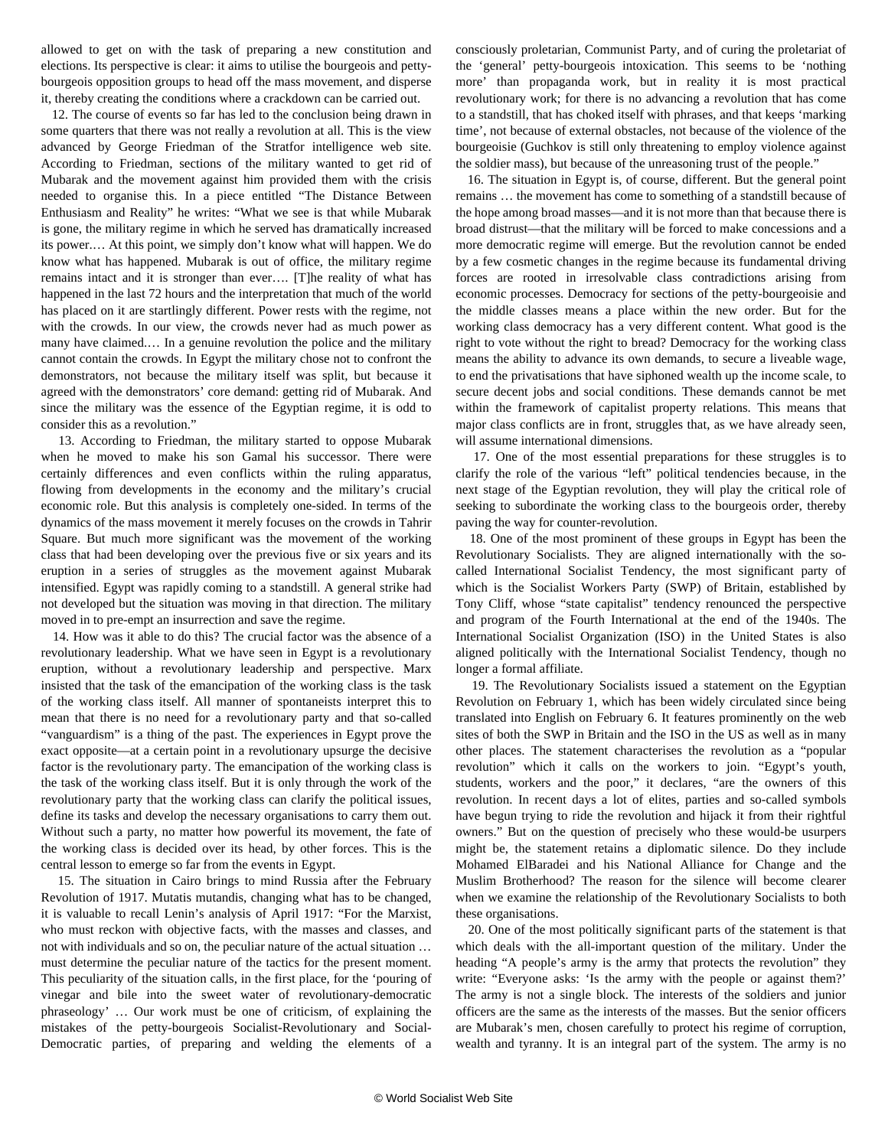allowed to get on with the task of preparing a new constitution and elections. Its perspective is clear: it aims to utilise the bourgeois and pettybourgeois opposition groups to head off the mass movement, and disperse it, thereby creating the conditions where a crackdown can be carried out.

 12. The course of events so far has led to the conclusion being drawn in some quarters that there was not really a revolution at all. This is the view advanced by George Friedman of the Stratfor intelligence web site. According to Friedman, sections of the military wanted to get rid of Mubarak and the movement against him provided them with the crisis needed to organise this. In a piece entitled "The Distance Between Enthusiasm and Reality" he writes: "What we see is that while Mubarak is gone, the military regime in which he served has dramatically increased its power.… At this point, we simply don't know what will happen. We do know what has happened. Mubarak is out of office, the military regime remains intact and it is stronger than ever…. [T]he reality of what has happened in the last 72 hours and the interpretation that much of the world has placed on it are startlingly different. Power rests with the regime, not with the crowds. In our view, the crowds never had as much power as many have claimed.… In a genuine revolution the police and the military cannot contain the crowds. In Egypt the military chose not to confront the demonstrators, not because the military itself was split, but because it agreed with the demonstrators' core demand: getting rid of Mubarak. And since the military was the essence of the Egyptian regime, it is odd to consider this as a revolution."

 13. According to Friedman, the military started to oppose Mubarak when he moved to make his son Gamal his successor. There were certainly differences and even conflicts within the ruling apparatus, flowing from developments in the economy and the military's crucial economic role. But this analysis is completely one-sided. In terms of the dynamics of the mass movement it merely focuses on the crowds in Tahrir Square. But much more significant was the movement of the working class that had been developing over the previous five or six years and its eruption in a series of struggles as the movement against Mubarak intensified. Egypt was rapidly coming to a standstill. A general strike had not developed but the situation was moving in that direction. The military moved in to pre-empt an insurrection and save the regime.

 14. How was it able to do this? The crucial factor was the absence of a revolutionary leadership. What we have seen in Egypt is a revolutionary eruption, without a revolutionary leadership and perspective. Marx insisted that the task of the emancipation of the working class is the task of the working class itself. All manner of spontaneists interpret this to mean that there is no need for a revolutionary party and that so-called "vanguardism" is a thing of the past. The experiences in Egypt prove the exact opposite—at a certain point in a revolutionary upsurge the decisive factor is the revolutionary party. The emancipation of the working class is the task of the working class itself. But it is only through the work of the revolutionary party that the working class can clarify the political issues, define its tasks and develop the necessary organisations to carry them out. Without such a party, no matter how powerful its movement, the fate of the working class is decided over its head, by other forces. This is the central lesson to emerge so far from the events in Egypt.

 15. The situation in Cairo brings to mind Russia after the February Revolution of 1917. Mutatis mutandis, changing what has to be changed, it is valuable to recall Lenin's analysis of April 1917: "For the Marxist, who must reckon with objective facts, with the masses and classes, and not with individuals and so on, the peculiar nature of the actual situation … must determine the peculiar nature of the tactics for the present moment. This peculiarity of the situation calls, in the first place, for the 'pouring of vinegar and bile into the sweet water of revolutionary-democratic phraseology' … Our work must be one of criticism, of explaining the mistakes of the petty-bourgeois Socialist-Revolutionary and Social-Democratic parties, of preparing and welding the elements of a

consciously proletarian, Communist Party, and of curing the proletariat of the 'general' petty-bourgeois intoxication. This seems to be 'nothing more' than propaganda work, but in reality it is most practical revolutionary work; for there is no advancing a revolution that has come to a standstill, that has choked itself with phrases, and that keeps 'marking time', not because of external obstacles, not because of the violence of the bourgeoisie (Guchkov is still only threatening to employ violence against the soldier mass), but because of the unreasoning trust of the people."

 16. The situation in Egypt is, of course, different. But the general point remains … the movement has come to something of a standstill because of the hope among broad masses—and it is not more than that because there is broad distrust—that the military will be forced to make concessions and a more democratic regime will emerge. But the revolution cannot be ended by a few cosmetic changes in the regime because its fundamental driving forces are rooted in irresolvable class contradictions arising from economic processes. Democracy for sections of the petty-bourgeoisie and the middle classes means a place within the new order. But for the working class democracy has a very different content. What good is the right to vote without the right to bread? Democracy for the working class means the ability to advance its own demands, to secure a liveable wage, to end the privatisations that have siphoned wealth up the income scale, to secure decent jobs and social conditions. These demands cannot be met within the framework of capitalist property relations. This means that major class conflicts are in front, struggles that, as we have already seen, will assume international dimensions.

 17. One of the most essential preparations for these struggles is to clarify the role of the various "left" political tendencies because, in the next stage of the Egyptian revolution, they will play the critical role of seeking to subordinate the working class to the bourgeois order, thereby paving the way for counter-revolution.

 18. One of the most prominent of these groups in Egypt has been the Revolutionary Socialists. They are aligned internationally with the socalled International Socialist Tendency, the most significant party of which is the Socialist Workers Party (SWP) of Britain, established by Tony Cliff, whose "state capitalist" tendency renounced the perspective and program of the Fourth International at the end of the 1940s. The International Socialist Organization (ISO) in the United States is also aligned politically with the International Socialist Tendency, though no longer a formal affiliate.

 19. The Revolutionary Socialists issued a statement on the Egyptian Revolution on February 1, which has been widely circulated since being translated into English on February 6. It features prominently on the web sites of both the SWP in Britain and the ISO in the US as well as in many other places. The statement characterises the revolution as a "popular revolution" which it calls on the workers to join. "Egypt's youth, students, workers and the poor," it declares, "are the owners of this revolution. In recent days a lot of elites, parties and so-called symbols have begun trying to ride the revolution and hijack it from their rightful owners." But on the question of precisely who these would-be usurpers might be, the statement retains a diplomatic silence. Do they include Mohamed ElBaradei and his National Alliance for Change and the Muslim Brotherhood? The reason for the silence will become clearer when we examine the relationship of the Revolutionary Socialists to both these organisations.

 20. One of the most politically significant parts of the statement is that which deals with the all-important question of the military. Under the heading "A people's army is the army that protects the revolution" they write: "Everyone asks: 'Is the army with the people or against them?' The army is not a single block. The interests of the soldiers and junior officers are the same as the interests of the masses. But the senior officers are Mubarak's men, chosen carefully to protect his regime of corruption, wealth and tyranny. It is an integral part of the system. The army is no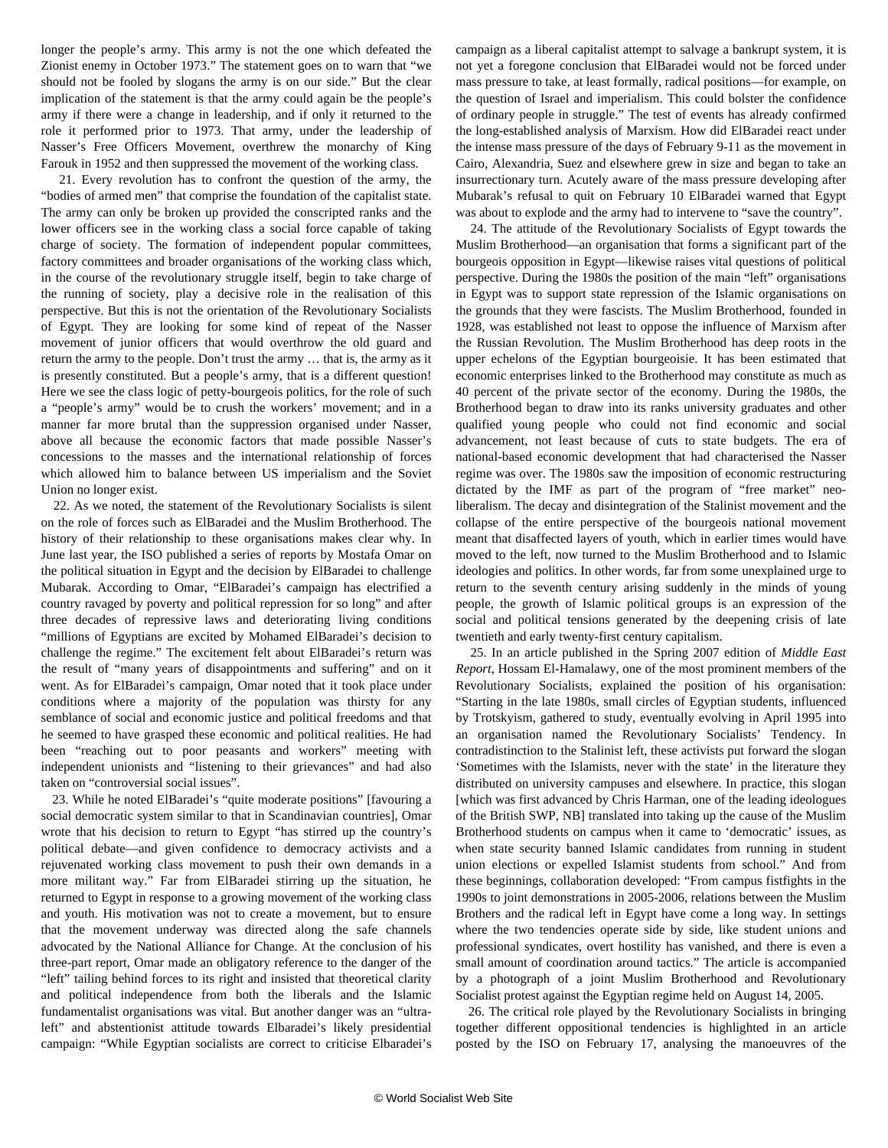longer the people's army. This army is not the one which defeated the Zionist enemy in October 1973." The statement goes on to warn that "we should not be fooled by slogans the army is on our side." But the clear implication of the statement is that the army could again be the people's army if there were a change in leadership, and if only it returned to the role it performed prior to 1973. That army, under the leadership of Nasser's Free Officers Movement, overthrew the monarchy of King Farouk in 1952 and then suppressed the movement of the working class.

 21. Every revolution has to confront the question of the army, the "bodies of armed men" that comprise the foundation of the capitalist state. The army can only be broken up provided the conscripted ranks and the lower officers see in the working class a social force capable of taking charge of society. The formation of independent popular committees, factory committees and broader organisations of the working class which, in the course of the revolutionary struggle itself, begin to take charge of the running of society, play a decisive role in the realisation of this perspective. But this is not the orientation of the Revolutionary Socialists of Egypt. They are looking for some kind of repeat of the Nasser movement of junior officers that would overthrow the old guard and return the army to the people. Don't trust the army … that is, the army as it is presently constituted. But a people's army, that is a different question! Here we see the class logic of petty-bourgeois politics, for the role of such a "people's army" would be to crush the workers' movement; and in a manner far more brutal than the suppression organised under Nasser, above all because the economic factors that made possible Nasser's concessions to the masses and the international relationship of forces which allowed him to balance between US imperialism and the Soviet Union no longer exist.

 22. As we noted, the statement of the Revolutionary Socialists is silent on the role of forces such as ElBaradei and the Muslim Brotherhood. The history of their relationship to these organisations makes clear why. In June last year, the ISO published a series of reports by Mostafa Omar on the political situation in Egypt and the decision by ElBaradei to challenge Mubarak. According to Omar, "ElBaradei's campaign has electrified a country ravaged by poverty and political repression for so long" and after three decades of repressive laws and deteriorating living conditions "millions of Egyptians are excited by Mohamed ElBaradei's decision to challenge the regime." The excitement felt about ElBaradei's return was the result of "many years of disappointments and suffering" and on it went. As for ElBaradei's campaign, Omar noted that it took place under conditions where a majority of the population was thirsty for any semblance of social and economic justice and political freedoms and that he seemed to have grasped these economic and political realities. He had been "reaching out to poor peasants and workers" meeting with independent unionists and "listening to their grievances" and had also taken on "controversial social issues".

 23. While he noted ElBaradei's "quite moderate positions" [favouring a social democratic system similar to that in Scandinavian countries], Omar wrote that his decision to return to Egypt "has stirred up the country's political debate—and given confidence to democracy activists and a rejuvenated working class movement to push their own demands in a more militant way." Far from ElBaradei stirring up the situation, he returned to Egypt in response to a growing movement of the working class and youth. His motivation was not to create a movement, but to ensure that the movement underway was directed along the safe channels advocated by the National Alliance for Change. At the conclusion of his three-part report, Omar made an obligatory reference to the danger of the "left" tailing behind forces to its right and insisted that theoretical clarity and political independence from both the liberals and the Islamic fundamentalist organisations was vital. But another danger was an "ultraleft" and abstentionist attitude towards Elbaradei's likely presidential campaign: "While Egyptian socialists are correct to criticise Elbaradei's

campaign as a liberal capitalist attempt to salvage a bankrupt system, it is not yet a foregone conclusion that ElBaradei would not be forced under mass pressure to take, at least formally, radical positions—for example, on the question of Israel and imperialism. This could bolster the confidence of ordinary people in struggle." The test of events has already confirmed the long-established analysis of Marxism. How did ElBaradei react under the intense mass pressure of the days of February 9-11 as the movement in Cairo, Alexandria, Suez and elsewhere grew in size and began to take an insurrectionary turn. Acutely aware of the mass pressure developing after Mubarak's refusal to quit on February 10 ElBaradei warned that Egypt was about to explode and the army had to intervene to "save the country".

 24. The attitude of the Revolutionary Socialists of Egypt towards the Muslim Brotherhood—an organisation that forms a significant part of the bourgeois opposition in Egypt—likewise raises vital questions of political perspective. During the 1980s the position of the main "left" organisations in Egypt was to support state repression of the Islamic organisations on the grounds that they were fascists. The Muslim Brotherhood, founded in 1928, was established not least to oppose the influence of Marxism after the Russian Revolution. The Muslim Brotherhood has deep roots in the upper echelons of the Egyptian bourgeoisie. It has been estimated that economic enterprises linked to the Brotherhood may constitute as much as 40 percent of the private sector of the economy. During the 1980s, the Brotherhood began to draw into its ranks university graduates and other qualified young people who could not find economic and social advancement, not least because of cuts to state budgets. The era of national-based economic development that had characterised the Nasser regime was over. The 1980s saw the imposition of economic restructuring dictated by the IMF as part of the program of "free market" neoliberalism. The decay and disintegration of the Stalinist movement and the collapse of the entire perspective of the bourgeois national movement meant that disaffected layers of youth, which in earlier times would have moved to the left, now turned to the Muslim Brotherhood and to Islamic ideologies and politics. In other words, far from some unexplained urge to return to the seventh century arising suddenly in the minds of young people, the growth of Islamic political groups is an expression of the social and political tensions generated by the deepening crisis of late twentieth and early twenty-first century capitalism.

 25. In an article published in the Spring 2007 edition of *Middle East Report*, Hossam El-Hamalawy, one of the most prominent members of the Revolutionary Socialists, explained the position of his organisation: "Starting in the late 1980s, small circles of Egyptian students, influenced by Trotskyism, gathered to study, eventually evolving in April 1995 into an organisation named the Revolutionary Socialists' Tendency. In contradistinction to the Stalinist left, these activists put forward the slogan 'Sometimes with the Islamists, never with the state' in the literature they distributed on university campuses and elsewhere. In practice, this slogan [which was first advanced by Chris Harman, one of the leading ideologues of the British SWP, NB] translated into taking up the cause of the Muslim Brotherhood students on campus when it came to 'democratic' issues, as when state security banned Islamic candidates from running in student union elections or expelled Islamist students from school." And from these beginnings, collaboration developed: "From campus fistfights in the 1990s to joint demonstrations in 2005-2006, relations between the Muslim Brothers and the radical left in Egypt have come a long way. In settings where the two tendencies operate side by side, like student unions and professional syndicates, overt hostility has vanished, and there is even a small amount of coordination around tactics." The article is accompanied by a photograph of a joint Muslim Brotherhood and Revolutionary Socialist protest against the Egyptian regime held on August 14, 2005.

 26. The critical role played by the Revolutionary Socialists in bringing together different oppositional tendencies is highlighted in an article posted by the ISO on February 17, analysing the manoeuvres of the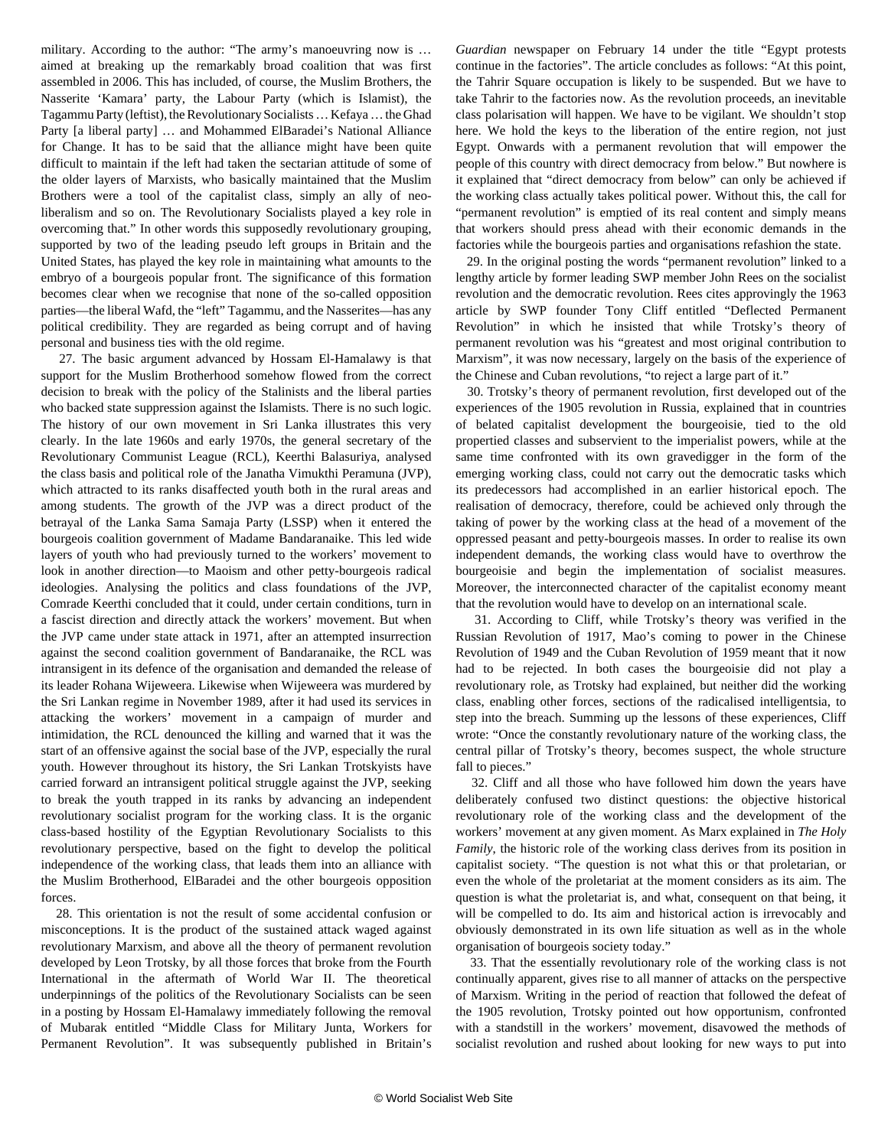military. According to the author: "The army's manoeuvring now is … aimed at breaking up the remarkably broad coalition that was first assembled in 2006. This has included, of course, the Muslim Brothers, the Nasserite 'Kamara' party, the Labour Party (which is Islamist), the Tagammu Party (leftist), the Revolutionary Socialists … Kefaya … the Ghad Party [a liberal party] … and Mohammed ElBaradei's National Alliance for Change. It has to be said that the alliance might have been quite difficult to maintain if the left had taken the sectarian attitude of some of the older layers of Marxists, who basically maintained that the Muslim Brothers were a tool of the capitalist class, simply an ally of neoliberalism and so on. The Revolutionary Socialists played a key role in overcoming that." In other words this supposedly revolutionary grouping, supported by two of the leading pseudo left groups in Britain and the United States, has played the key role in maintaining what amounts to the embryo of a bourgeois popular front. The significance of this formation becomes clear when we recognise that none of the so-called opposition parties—the liberal Wafd, the "left" Tagammu, and the Nasserites—has any political credibility. They are regarded as being corrupt and of having personal and business ties with the old regime.

 27. The basic argument advanced by Hossam El-Hamalawy is that support for the Muslim Brotherhood somehow flowed from the correct decision to break with the policy of the Stalinists and the liberal parties who backed state suppression against the Islamists. There is no such logic. The history of our own movement in Sri Lanka illustrates this very clearly. In the late 1960s and early 1970s, the general secretary of the Revolutionary Communist League (RCL), Keerthi Balasuriya, analysed the class basis and political role of the Janatha Vimukthi Peramuna (JVP), which attracted to its ranks disaffected youth both in the rural areas and among students. The growth of the JVP was a direct product of the betrayal of the Lanka Sama Samaja Party (LSSP) when it entered the bourgeois coalition government of Madame Bandaranaike. This led wide layers of youth who had previously turned to the workers' movement to look in another direction—to Maoism and other petty-bourgeois radical ideologies. Analysing the politics and class foundations of the JVP, Comrade Keerthi concluded that it could, under certain conditions, turn in a fascist direction and directly attack the workers' movement. But when the JVP came under state attack in 1971, after an attempted insurrection against the second coalition government of Bandaranaike, the RCL was intransigent in its defence of the organisation and demanded the release of its leader Rohana Wijeweera. Likewise when Wijeweera was murdered by the Sri Lankan regime in November 1989, after it had used its services in attacking the workers' movement in a campaign of murder and intimidation, the RCL denounced the killing and warned that it was the start of an offensive against the social base of the JVP, especially the rural youth. However throughout its history, the Sri Lankan Trotskyists have carried forward an intransigent political struggle against the JVP, seeking to break the youth trapped in its ranks by advancing an independent revolutionary socialist program for the working class. It is the organic class-based hostility of the Egyptian Revolutionary Socialists to this revolutionary perspective, based on the fight to develop the political independence of the working class, that leads them into an alliance with the Muslim Brotherhood, ElBaradei and the other bourgeois opposition forces.

 28. This orientation is not the result of some accidental confusion or misconceptions. It is the product of the sustained attack waged against revolutionary Marxism, and above all the theory of permanent revolution developed by Leon Trotsky, by all those forces that broke from the Fourth International in the aftermath of World War II. The theoretical underpinnings of the politics of the Revolutionary Socialists can be seen in a posting by Hossam El-Hamalawy immediately following the removal of Mubarak entitled "Middle Class for Military Junta, Workers for Permanent Revolution". It was subsequently published in Britain's

*Guardian* newspaper on February 14 under the title "Egypt protests continue in the factories". The article concludes as follows: "At this point, the Tahrir Square occupation is likely to be suspended. But we have to take Tahrir to the factories now. As the revolution proceeds, an inevitable class polarisation will happen. We have to be vigilant. We shouldn't stop here. We hold the keys to the liberation of the entire region, not just Egypt. Onwards with a permanent revolution that will empower the people of this country with direct democracy from below." But nowhere is it explained that "direct democracy from below" can only be achieved if the working class actually takes political power. Without this, the call for "permanent revolution" is emptied of its real content and simply means that workers should press ahead with their economic demands in the factories while the bourgeois parties and organisations refashion the state.

 29. In the original posting the words "permanent revolution" linked to a lengthy article by former leading SWP member John Rees on the socialist revolution and the democratic revolution. Rees cites approvingly the 1963 article by SWP founder Tony Cliff entitled "Deflected Permanent Revolution" in which he insisted that while Trotsky's theory of permanent revolution was his "greatest and most original contribution to Marxism", it was now necessary, largely on the basis of the experience of the Chinese and Cuban revolutions, "to reject a large part of it."

 30. Trotsky's theory of permanent revolution, first developed out of the experiences of the 1905 revolution in Russia, explained that in countries of belated capitalist development the bourgeoisie, tied to the old propertied classes and subservient to the imperialist powers, while at the same time confronted with its own gravedigger in the form of the emerging working class, could not carry out the democratic tasks which its predecessors had accomplished in an earlier historical epoch. The realisation of democracy, therefore, could be achieved only through the taking of power by the working class at the head of a movement of the oppressed peasant and petty-bourgeois masses. In order to realise its own independent demands, the working class would have to overthrow the bourgeoisie and begin the implementation of socialist measures. Moreover, the interconnected character of the capitalist economy meant that the revolution would have to develop on an international scale.

 31. According to Cliff, while Trotsky's theory was verified in the Russian Revolution of 1917, Mao's coming to power in the Chinese Revolution of 1949 and the Cuban Revolution of 1959 meant that it now had to be rejected. In both cases the bourgeoisie did not play a revolutionary role, as Trotsky had explained, but neither did the working class, enabling other forces, sections of the radicalised intelligentsia, to step into the breach. Summing up the lessons of these experiences, Cliff wrote: "Once the constantly revolutionary nature of the working class, the central pillar of Trotsky's theory, becomes suspect, the whole structure fall to pieces."

 32. Cliff and all those who have followed him down the years have deliberately confused two distinct questions: the objective historical revolutionary role of the working class and the development of the workers' movement at any given moment. As Marx explained in *The Holy Family*, the historic role of the working class derives from its position in capitalist society. "The question is not what this or that proletarian, or even the whole of the proletariat at the moment considers as its aim. The question is what the proletariat is, and what, consequent on that being, it will be compelled to do. Its aim and historical action is irrevocably and obviously demonstrated in its own life situation as well as in the whole organisation of bourgeois society today."

 33. That the essentially revolutionary role of the working class is not continually apparent, gives rise to all manner of attacks on the perspective of Marxism. Writing in the period of reaction that followed the defeat of the 1905 revolution, Trotsky pointed out how opportunism, confronted with a standstill in the workers' movement, disavowed the methods of socialist revolution and rushed about looking for new ways to put into